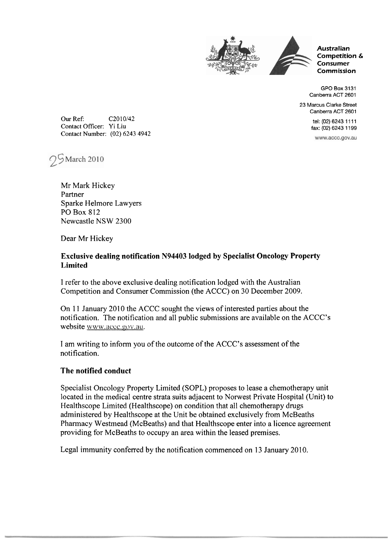



**Competition** & **Consumer Commission** 

GPO Box 3131 Canberra ACT 2601

23 Marcus Clarke Street Canberra ACT 2601

> tel: (02) 6243 1111 fax: (02) 6243 1199

www.accc.gov.au

Our Ref: C2010/42 Contact Officer: Yi Liu Contact Number: (02) 6243 4942



Mr Mark Hickey Partner Sparke Helmore Lawyers PO Box 812 Newcastle NSW 2300

Dear Mr Hickey

## **Exclusive dealing notification N94403 lodged by Specialist Oncology Property Limited**

I refer to the above exclusive dealing notification lodged with the Australian Competition and Consumer Commission (the ACCC) on 30 December 2009.

On 11 January 2010 the ACCC sought the views of interested parties about the notification. The notification and all public submissions are available on the ACCC's website www.accc.gov.au.

I am writing to inform you of the outcome of the ACCC's assessment of the notification.

## **The notified conduct**

Specialist Oncology Property Limited (SOPL) proposes to lease a chemotherapy unit located in the medical centre strata suits adjacent to Norwest Private Hospital (Unit) to Healthscope Limited (Healthscope) on condition that all chemotherapy drugs administered by Healthscope at the Unit be obtained exclusively from McBeaths Pharmacy Westmead (McBeaths) and that Healthscope enter into a licence agreement providing for McBeaths to occupy an area within the leased premises.

Legal immunity conferred by the notification commenced on 13 January 2010.